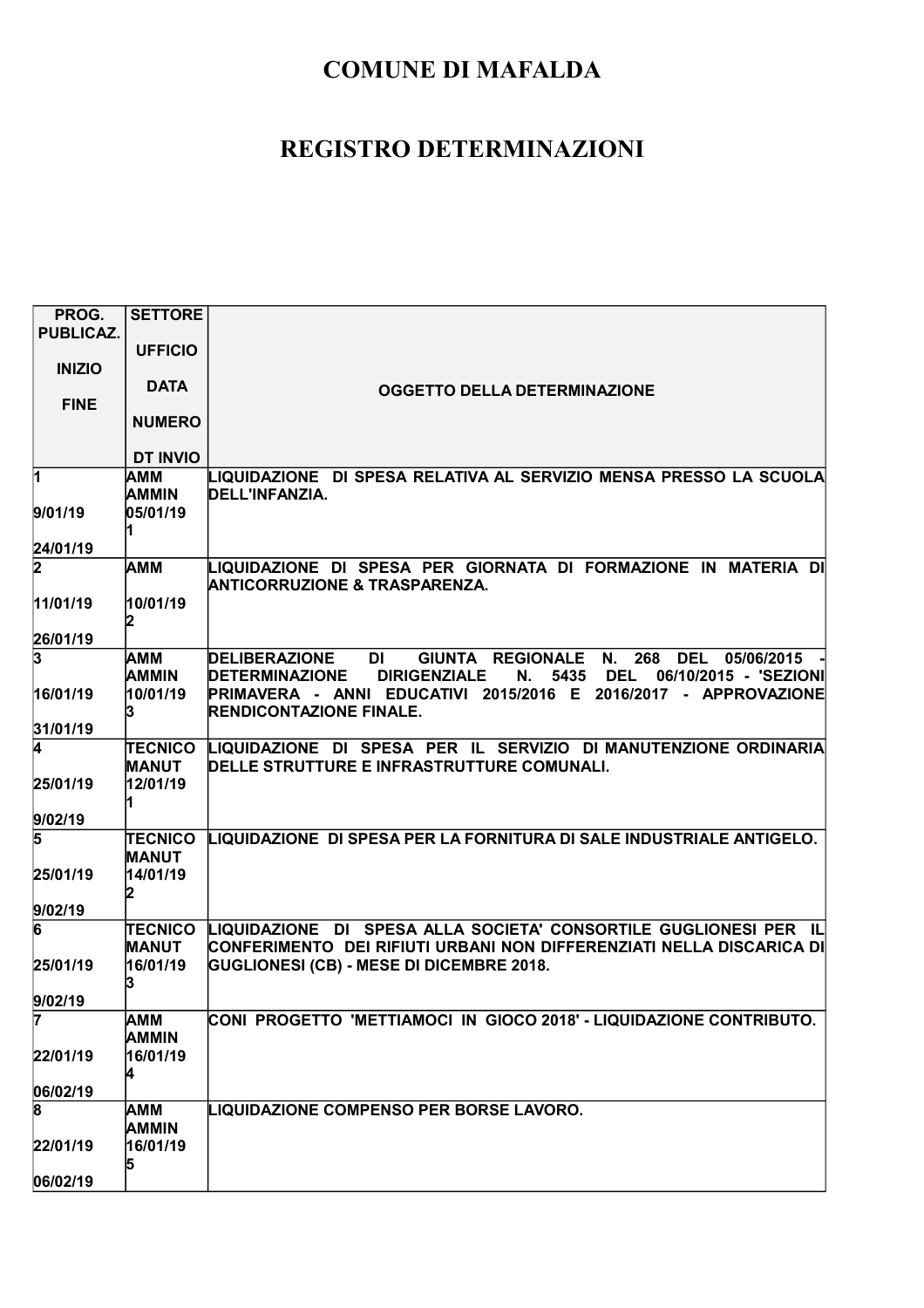| PROG.                               | <b>SETTORE</b>  |                                                                                                                                                |
|-------------------------------------|-----------------|------------------------------------------------------------------------------------------------------------------------------------------------|
| <b>PUBLICAZ.</b>                    |                 |                                                                                                                                                |
|                                     | <b>UFFICIO</b>  |                                                                                                                                                |
| <b>INIZIO</b>                       |                 |                                                                                                                                                |
|                                     | <b>DATA</b>     | <b>OGGETTO DELLA DETERMINAZIONE</b>                                                                                                            |
| <b>FINE</b>                         |                 |                                                                                                                                                |
|                                     | <b>NUMERO</b>   |                                                                                                                                                |
|                                     |                 |                                                                                                                                                |
|                                     | <b>DT INVIO</b> |                                                                                                                                                |
| $\vert$ 1                           | <b>AMM</b>      | LIQUIDAZIONE DI SPESA RELATIVA AL SERVIZIO MENSA PRESSO LA SCUOLA                                                                              |
|                                     | <b>AMMIN</b>    | DELL'INFANZIA.                                                                                                                                 |
| 9/01/19                             | 05/01/19        |                                                                                                                                                |
|                                     |                 |                                                                                                                                                |
| 24/01/19                            |                 |                                                                                                                                                |
| $\overline{\mathbf{2}}$             | AMM             | LIQUIDAZIONE DI SPESA PER GIORNATA DI FORMAZIONE IN MATERIA DI                                                                                 |
|                                     |                 | <b>ANTICORRUZIONE &amp; TRASPARENZA.</b>                                                                                                       |
| 11/01/19                            | 10/01/19        |                                                                                                                                                |
|                                     |                 |                                                                                                                                                |
| 26/01/19<br>$\overline{\mathbf{3}}$ |                 |                                                                                                                                                |
|                                     | іамм<br>AMMIN   | GIUNTA REGIONALE<br>268<br>DEL 05/06/2015<br><b>DELIBERAZIONE</b><br>DI<br>N.<br><b>DEL</b><br>5435                                            |
| 16/01/19                            | 10/01/19        | <b>DETERMINAZIONE</b><br><b>DIRIGENZIALE</b><br>N.<br>06/10/2015 - 'SEZIONI<br>PRIMAVERA - ANNI EDUCATIVI 2015/2016 E 2016/2017 - APPROVAZIONE |
|                                     |                 | <b>RENDICONTAZIONE FINALE.</b>                                                                                                                 |
| 31/01/19                            |                 |                                                                                                                                                |
| 4                                   | <b>TECNICO</b>  | LIQUIDAZIONE DI SPESA PER IL SERVIZIO DI MANUTENZIONE ORDINARIA                                                                                |
|                                     | <b>MANUT</b>    | DELLE STRUTTURE E INFRASTRUTTURE COMUNALI.                                                                                                     |
| 25/01/19                            | 12/01/19        |                                                                                                                                                |
|                                     |                 |                                                                                                                                                |
| 9/02/19                             |                 |                                                                                                                                                |
| 5                                   | <b>TECNICO</b>  | LIQUIDAZIONE DI SPESA PER LA FORNITURA DI SALE INDUSTRIALE ANTIGELO.                                                                           |
|                                     | MANUT           |                                                                                                                                                |
| 25/01/19                            | 14/01/19        |                                                                                                                                                |
|                                     |                 |                                                                                                                                                |
| 9/02/19                             |                 |                                                                                                                                                |
| 6                                   | TECNICO         | LIQUIDAZIONE DI SPESA ALLA SOCIETA' CONSORTILE GUGLIONESI PER IL                                                                               |
|                                     | <b>MANUT</b>    | CONFERIMENTO DEI RIFIUTI URBANI NON DIFFERENZIATI NELLA DISCARICA DI                                                                           |
| 25/01/19                            | 16/01/19        | <b>GUGLIONESI (CB) - MESE DI DICEMBRE 2018.</b>                                                                                                |
|                                     |                 |                                                                                                                                                |
| 9/02/19                             |                 |                                                                                                                                                |
| 7                                   | AMM             | CONI PROGETTO 'METTIAMOCI IN GIOCO 2018' - LIQUIDAZIONE CONTRIBUTO.                                                                            |
|                                     | <b>AMMIN</b>    |                                                                                                                                                |
| 22/01/19                            | 16/01/19        |                                                                                                                                                |
|                                     |                 |                                                                                                                                                |
| 06/02/19                            |                 |                                                                                                                                                |
| 8                                   | <b>AMM</b>      | <b>LIQUIDAZIONE COMPENSO PER BORSE LAVORO.</b>                                                                                                 |
|                                     | AMMIN           |                                                                                                                                                |
| 22/01/19                            | 16/01/19        |                                                                                                                                                |
|                                     |                 |                                                                                                                                                |
| 06/02/19                            |                 |                                                                                                                                                |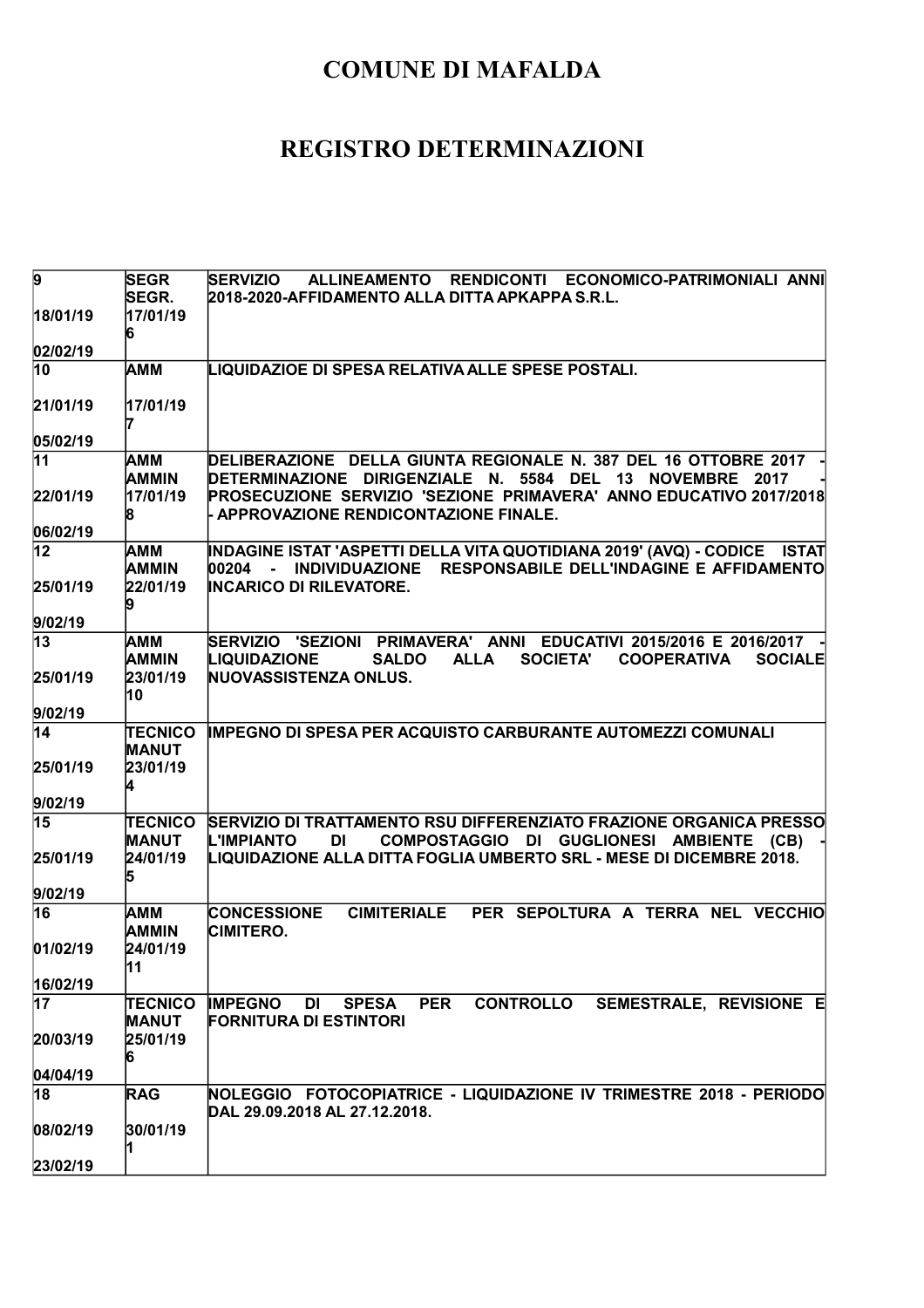| 9               | <b>SEGR</b>                | ALLINEAMENTO RENDICONTI ECONOMICO-PATRIMONIALI ANNI<br><b>SERVIZIO</b>                                                                                                             |
|-----------------|----------------------------|------------------------------------------------------------------------------------------------------------------------------------------------------------------------------------|
|                 | SEGR.                      | 2018-2020-AFFIDAMENTO ALLA DITTA APKAPPA S.R.L.                                                                                                                                    |
| 18/01/19        | 17/01/19                   |                                                                                                                                                                                    |
|                 | 6                          |                                                                                                                                                                                    |
| 02/02/19        |                            |                                                                                                                                                                                    |
| $\overline{10}$ | <b>AMM</b>                 | LIQUIDAZIOE DI SPESA RELATIVA ALLE SPESE POSTALI.                                                                                                                                  |
| 21/01/19        | 17/01/19                   |                                                                                                                                                                                    |
| 05/02/19        |                            |                                                                                                                                                                                    |
| $\overline{11}$ | AMM<br><b>AMMIN</b>        | DELIBERAZIONE DELLA GIUNTA REGIONALE N. 387 DEL 16 OTTOBRE 2017<br>DETERMINAZIONE DIRIGENZIALE N. 5584 DEL 13 NOVEMBRE 2017                                                        |
| 22/01/19        | 17/01/19<br>8              | PROSECUZIONE SERVIZIO 'SEZIONE PRIMAVERA' ANNO EDUCATIVO 2017/2018<br><b>APPROVAZIONE RENDICONTAZIONE FINALE.</b>                                                                  |
| 06/02/19        |                            |                                                                                                                                                                                    |
| 12              | AMM<br>AMMIN               | INDAGINE ISTAT 'ASPETTI DELLA VITA QUOTIDIANA 2019' (AVQ) - CODICE     ISTAT<br>INDIVIDUAZIONE RESPONSABILE DELL'INDAGINE E AFFIDAMENTO<br>00204 -                                 |
| 25/01/19        | 22/01/19                   | <b>INCARICO DI RILEVATORE.</b>                                                                                                                                                     |
| 9/02/19         |                            |                                                                                                                                                                                    |
| $\overline{13}$ | <b>AMM</b><br><b>AMMIN</b> | SERVIZIO 'SEZIONI PRIMAVERA' ANNI EDUCATIVI 2015/2016 E 2016/2017<br><b>LIQUIDAZIONE</b><br><b>ALLA</b><br><b>SOCIETA'</b><br><b>SALDO</b><br><b>COOPERATIVA</b><br><b>SOCIALE</b> |
| 25/01/19        | 23/01/19<br>10             | NUOVASSISTENZA ONLUS.                                                                                                                                                              |
| 9/02/19         |                            |                                                                                                                                                                                    |
| $ 14\rangle$    | <b>TECNICO</b>             | <b>IMPEGNO DI SPESA PER ACQUISTO CARBURANTE AUTOMEZZI COMUNALI</b>                                                                                                                 |
|                 | <b>MANUT</b>               |                                                                                                                                                                                    |
| 25/01/19        | 23/01/19                   |                                                                                                                                                                                    |
|                 | 4                          |                                                                                                                                                                                    |
| 9/02/19         |                            |                                                                                                                                                                                    |
| 15              | TECNICO<br><b>MANUT</b>    | SERVIZIO DI TRATTAMENTO RSU DIFFERENZIATO FRAZIONE ORGANICA PRESSO<br><b>L'IMPIANTO</b><br><b>DI</b><br>COMPOSTAGGIO DI GUGLIONESI AMBIENTE<br>(CB)                                |
| 25/01/19        | 24/01/19<br>5              | LIQUIDAZIONE ALLA DITTA FOGLIA UMBERTO SRL - MESE DI DICEMBRE 2018.                                                                                                                |
| 9/02/19         |                            |                                                                                                                                                                                    |
| 16              | AMM<br><b>AMMIN</b>        | CIMITERIALE PER SEPOLTURA A TERRA NEL VECCHIO<br><b>CONCESSIONE</b><br><b>CIMITERO.</b>                                                                                            |
| 01/02/19        | 24/01/19<br>11             |                                                                                                                                                                                    |
| 16/02/19        |                            |                                                                                                                                                                                    |
| 17              | TECNICO<br><b>MANUT</b>    | <b>IMPEGNO</b><br><b>SPESA</b><br><b>PER</b><br><b>CONTROLLO</b><br>SEMESTRALE, REVISIONE E<br><b>DI</b><br><b>FORNITURA DI ESTINTORI</b>                                          |
| 20/03/19        | 25/01/19<br>16             |                                                                                                                                                                                    |
| 04/04/19        |                            |                                                                                                                                                                                    |
| 18              | <b>RAG</b>                 | NOLEGGIO FOTOCOPIATRICE - LIQUIDAZIONE IV TRIMESTRE 2018 - PERIODO<br>DAL 29.09.2018 AL 27.12.2018.                                                                                |
| 08/02/19        | 30/01/19                   |                                                                                                                                                                                    |
| 23/02/19        |                            |                                                                                                                                                                                    |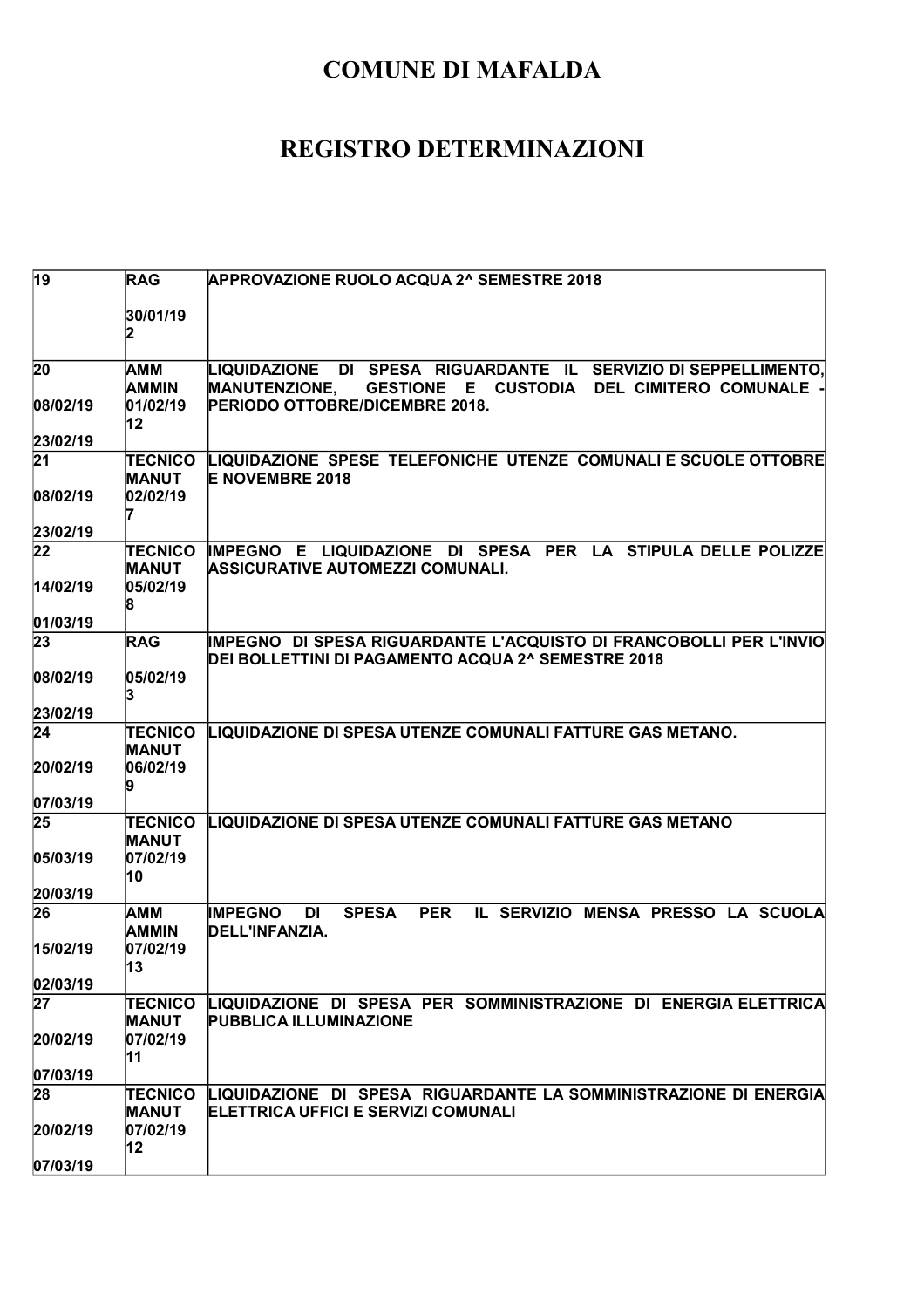| $\overline{19}$ | <b>RAG</b>                     | <b>APPROVAZIONE RUOLO ACQUA 2^ SEMESTRE 2018</b>                                                                         |
|-----------------|--------------------------------|--------------------------------------------------------------------------------------------------------------------------|
|                 |                                |                                                                                                                          |
|                 | 30/01/19                       |                                                                                                                          |
|                 |                                |                                                                                                                          |
| 20              | AMM                            | LIQUIDAZIONE DI SPESA RIGUARDANTE IL SERVIZIO DI SEPPELLIMENTO,                                                          |
| 08/02/19        | AMMIN<br>01/02/19              | GESTIONE E CUSTODIA DEL CIMITERO COMUNALE -<br><b>MANUTENZIONE,</b><br>PERIODO OTTOBRE/DICEMBRE 2018.                    |
|                 | 12                             |                                                                                                                          |
| 23/02/19        |                                |                                                                                                                          |
| 21              | <b>TECNICO</b>                 | LIQUIDAZIONE SPESE TELEFONICHE UTENZE COMUNALI E SCUOLE OTTOBRE                                                          |
| 08/02/19        | <b>MANUT</b><br>02/02/19       | <b>E NOVEMBRE 2018</b>                                                                                                   |
|                 |                                |                                                                                                                          |
| 23/02/19        |                                |                                                                                                                          |
| 22              | TECNICO<br><b>MANUT</b>        | IMPEGNO E LIQUIDAZIONE DI SPESA PER LA STIPULA DELLE POLIZZE<br>ASSICURATIVE AUTOMEZZI COMUNALI.                         |
| 14/02/19        | 05/02/19                       |                                                                                                                          |
|                 |                                |                                                                                                                          |
| 01/03/19        |                                |                                                                                                                          |
| 23              | <b>RAG</b>                     | IMPEGNO DI SPESA RIGUARDANTE L'ACQUISTO DI FRANCOBOLLI PER L'INVIO<br>DEI BOLLETTINI DI PAGAMENTO ACQUA 2^ SEMESTRE 2018 |
| 08/02/19        | 05/02/19                       |                                                                                                                          |
|                 | 13                             |                                                                                                                          |
| 23/02/19        |                                |                                                                                                                          |
| 24              | <b>TECNICO</b><br>MANUT        | LIQUIDAZIONE DI SPESA UTENZE COMUNALI FATTURE GAS METANO.                                                                |
| 20/02/19        | 06/02/19                       |                                                                                                                          |
|                 |                                |                                                                                                                          |
| 07/03/19        |                                |                                                                                                                          |
| 25              | <b>TECNICO</b><br><b>MANUT</b> | LIQUIDAZIONE DI SPESA UTENZE COMUNALI FATTURE GAS METANO                                                                 |
| 05/03/19        | 07/02/19                       |                                                                                                                          |
|                 | 10                             |                                                                                                                          |
| 20/03/19        |                                |                                                                                                                          |
| 26              | <b>AMM</b><br>AMMIN            | <b>PER</b><br>IL SERVIZIO MENSA PRESSO LA SCUOLA<br><b>IMPEGNO</b><br>DI<br><b>SPESA</b><br>DELL'INFANZIA.               |
| 15/02/19        | 07/02/19                       |                                                                                                                          |
|                 | 13                             |                                                                                                                          |
| 02/03/19<br>27  |                                |                                                                                                                          |
|                 | TECNICO<br><b>MANUT</b>        | LIQUIDAZIONE DI SPESA PER SOMMINISTRAZIONE DI ENERGIA ELETTRICA<br><b>PUBBLICA ILLUMINAZIONE</b>                         |
| 20/02/19        | 07/02/19                       |                                                                                                                          |
|                 | 11                             |                                                                                                                          |
| 07/03/19<br>28  | TECNICO                        | LIQUIDAZIONE DI SPESA RIGUARDANTE LA SOMMINISTRAZIONE DI ENERGIA                                                         |
|                 | <b>MANUT</b>                   | ELETTRICA UFFICI E SERVIZI COMUNALI                                                                                      |
| 20/02/19        | 07/02/19                       |                                                                                                                          |
|                 | 12                             |                                                                                                                          |
| 07/03/19        |                                |                                                                                                                          |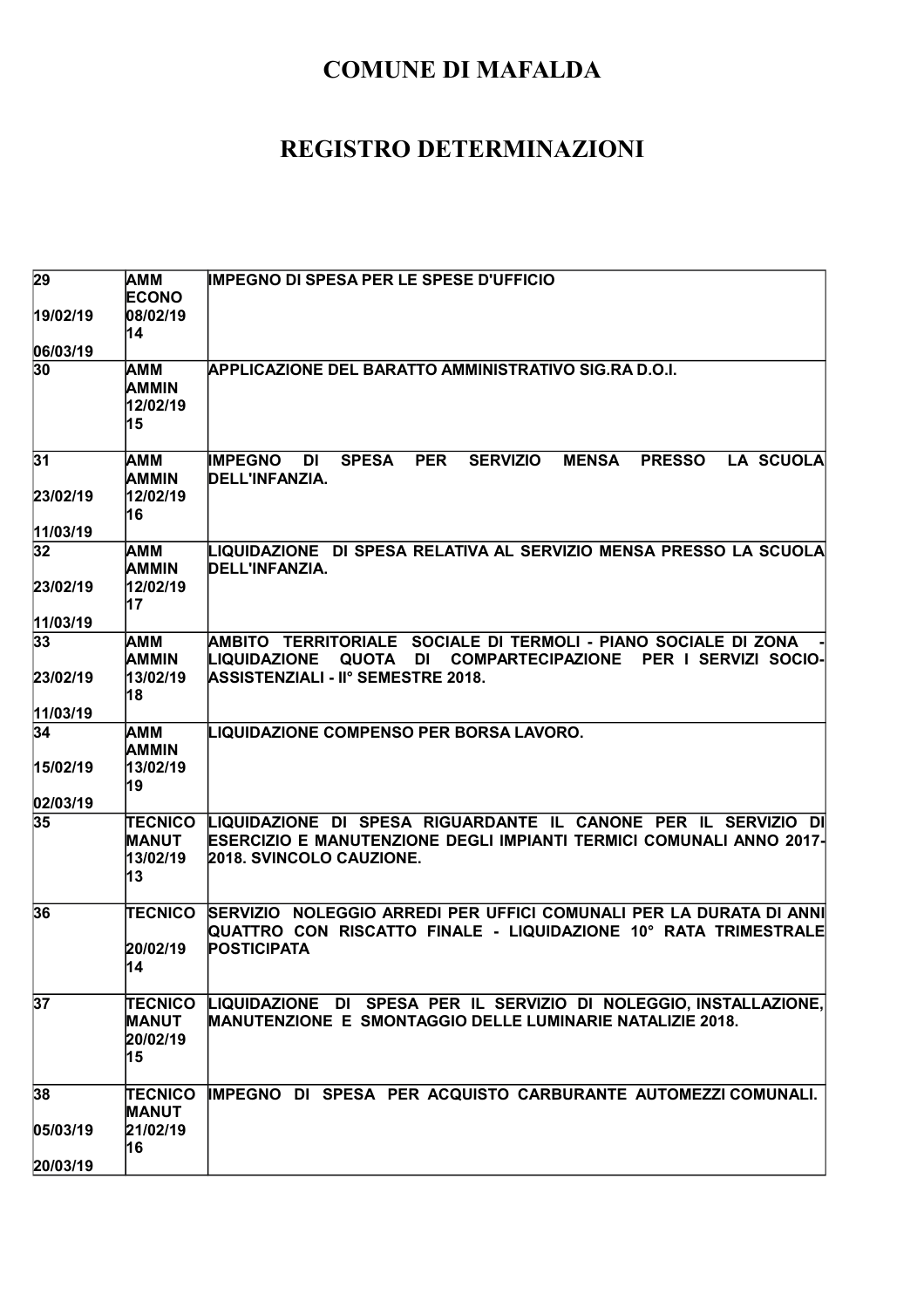| 29             | <b>AMM</b>              | <b>IMPEGNO DI SPESA PER LE SPESE D'UFFICIO</b>                                                                                          |
|----------------|-------------------------|-----------------------------------------------------------------------------------------------------------------------------------------|
|                | <b>ECONO</b>            |                                                                                                                                         |
| 19/02/19       | 08/02/19                |                                                                                                                                         |
| 06/03/19       | 14                      |                                                                                                                                         |
| 30             | <b>AMM</b>              | <b>APPLICAZIONE DEL BARATTO AMMINISTRATIVO SIG.RA D.O.I.</b>                                                                            |
|                | <b>AMMIN</b>            |                                                                                                                                         |
|                | 12/02/19                |                                                                                                                                         |
|                | 15                      |                                                                                                                                         |
|                |                         |                                                                                                                                         |
| 31             | АММ                     | LA SCUOLA<br><b>SPESA</b><br><b>PER</b><br><b>SERVIZIO</b><br><b>MENSA</b><br><b>PRESSO</b><br><b>IMPEGNO</b><br><b>DI</b>              |
|                | <b>AMMIN</b>            | DELL'INFANZIA.                                                                                                                          |
| 23/02/19       | 12/02/19                |                                                                                                                                         |
| 11/03/19       | 16                      |                                                                                                                                         |
| 32             | ΙАΜΜ                    | LIQUIDAZIONE DI SPESA RELATIVA AL SERVIZIO MENSA PRESSO LA SCUOLA                                                                       |
|                | AMMIN                   | DELL'INFANZIA.                                                                                                                          |
| 23/02/19       | 12/02/19                |                                                                                                                                         |
|                | 17                      |                                                                                                                                         |
| 11/03/19       |                         |                                                                                                                                         |
| 33             | AMM                     | AMBITO TERRITORIALE SOCIALE DI TERMOLI - PIANO SOCIALE DI ZONA                                                                          |
|                | <b>AMMIN</b>            | LIQUIDAZIONE<br>QUOTA<br>DI<br><b>COMPARTECIPAZIONE</b><br>PER I SERVIZI SOCIO-                                                         |
| 23/02/19       | 13/02/19                | <b>ASSISTENZIALI - II° SEMESTRE 2018.</b>                                                                                               |
|                | 18                      |                                                                                                                                         |
| 11/03/19<br>34 | AMM                     | LIQUIDAZIONE COMPENSO PER BORSA LAVORO.                                                                                                 |
|                | <b>AMMIN</b>            |                                                                                                                                         |
| 15/02/19       | 13/02/19                |                                                                                                                                         |
|                | 19                      |                                                                                                                                         |
| 02/03/19       |                         |                                                                                                                                         |
| 35             | <b>TECNICO</b>          | LIQUIDAZIONE DI SPESA RIGUARDANTE IL CANONE PER IL SERVIZIO DI                                                                          |
|                | <b>MANUT</b>            | ESERCIZIO E MANUTENZIONE DEGLI IMPIANTI TERMICI COMUNALI ANNO 2017-                                                                     |
|                |                         |                                                                                                                                         |
|                | 13/02/19                | <b>2018. SVINCOLO CAUZIONE.</b>                                                                                                         |
|                | 13                      |                                                                                                                                         |
|                |                         |                                                                                                                                         |
| 36             | <b>TECNICO</b>          | QUATTRO CON RISCATTO FINALE - LIQUIDAZIONE 10° RATA TRIMESTRALE                                                                         |
|                | 20/02/19                | <b>POSTICIPATA</b>                                                                                                                      |
|                | 14                      |                                                                                                                                         |
|                |                         |                                                                                                                                         |
| 37             | TECNICO                 | SERVIZIO NOLEGGIO ARREDI PER UFFICI COMUNALI PER LA DURATA DI ANNI<br>LIQUIDAZIONE DI SPESA PER IL SERVIZIO DI NOLEGGIO, INSTALLAZIONE, |
|                | <b>MANUT</b>            | MANUTENZIONE E SMONTAGGIO DELLE LUMINARIE NATALIZIE 2018.                                                                               |
|                | 20/02/19                |                                                                                                                                         |
|                | 15                      |                                                                                                                                         |
|                |                         |                                                                                                                                         |
| 38             | TECNICO<br><b>MANUT</b> | IMPEGNO DI SPESA PER ACQUISTO CARBURANTE AUTOMEZZI COMUNALI.                                                                            |
| 05/03/19       | 21/02/19                |                                                                                                                                         |
| 20/03/19       | 16                      |                                                                                                                                         |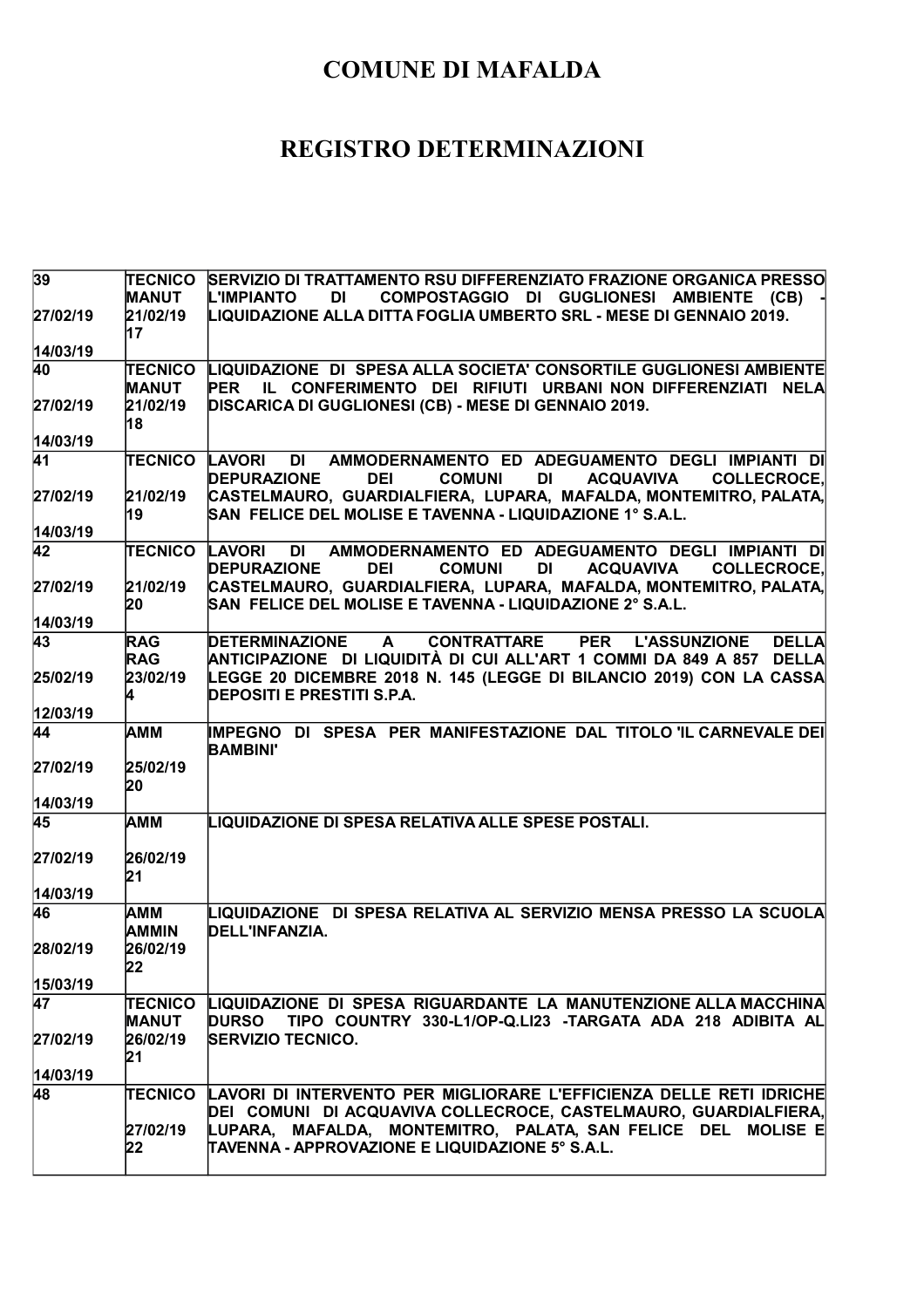| 39              | <b>TECNICO</b>                 | SERVIZIO DI TRATTAMENTO RSU DIFFERENZIATO FRAZIONE ORGANICA PRESSO                                                                                                                       |
|-----------------|--------------------------------|------------------------------------------------------------------------------------------------------------------------------------------------------------------------------------------|
|                 | <b>MANUT</b>                   | <b>L'IMPIANTO</b><br>DI<br>COMPOSTAGGIO DI GUGLIONESI AMBIENTE (CB)                                                                                                                      |
| 27/02/19        | 21/02/19<br>17                 | LIQUIDAZIONE ALLA DITTA FOGLIA UMBERTO SRL - MESE DI GENNAIO 2019.                                                                                                                       |
| 14/03/19        |                                |                                                                                                                                                                                          |
| 40              | TECNICO<br><b>MANUT</b>        | LIQUIDAZIONE DI SPESA ALLA SOCIETA' CONSORTILE GUGLIONESI AMBIENTE<br>PER IL CONFERIMENTO DEI RIFIUTI URBANI NON DIFFERENZIATI NELA                                                      |
| 27/02/19        | 21/02/19<br>18                 | DISCARICA DI GUGLIONESI (CB) - MESE DI GENNAIO 2019.                                                                                                                                     |
| 14/03/19        |                                |                                                                                                                                                                                          |
| <b>41</b>       | TECNICO                        | AMMODERNAMENTO ED ADEGUAMENTO DEGLI IMPIANTI DI<br><b>LAVORI</b><br>DI<br><b>DEI</b><br><b>DEPURAZIONE</b><br><b>COMUNI</b><br><b>DI</b><br><b>ACQUAVIVA</b><br><b>COLLECROCE.</b>       |
| 27/02/19        | 21/02/19<br>19                 | CASTELMAURO, GUARDIALFIERA, LUPARA, MAFALDA, MONTEMITRO, PALATA,<br>SAN FELICE DEL MOLISE E TAVENNA - LIQUIDAZIONE 1º S.A.L.                                                             |
| 14/03/19        |                                |                                                                                                                                                                                          |
| $\overline{42}$ | <b>TECNICO LAVORI</b>          | AMMODERNAMENTO ED ADEGUAMENTO DEGLI IMPIANTI DI<br>DI<br><b>DEI</b><br><b>DEPURAZIONE</b><br><b>COMUNI</b><br><b>DI</b><br><b>ACQUAVIVA</b><br><b>COLLECROCE.</b>                        |
| 27/02/19        | 21/02/19<br>20                 | CASTELMAURO, GUARDIALFIERA, LUPARA, MAFALDA, MONTEMITRO, PALATA,<br>SAN FELICE DEL MOLISE E TAVENNA - LIQUIDAZIONE 2° S.A.L.                                                             |
| 14/03/19        |                                |                                                                                                                                                                                          |
| 43              | <b>RAG</b><br><b>RAG</b>       | <b>DELLA</b><br><b>DETERMINAZIONE</b><br><b>CONTRATTARE</b><br><b>PER</b><br><b>L'ASSUNZIONE</b><br>$\mathbf{A}$<br>ANTICIPAZIONE DI LIQUIDITÀ DI CUI ALL'ART 1 COMMI DA 849 A 857 DELLA |
| 25/02/19        | 23/02/19<br>4                  | LEGGE 20 DICEMBRE 2018 N. 145 (LEGGE DI BILANCIO 2019) CON LA CASSA<br><b>DEPOSITI E PRESTITI S.P.A.</b>                                                                                 |
| 12/03/19        |                                |                                                                                                                                                                                          |
| 44              | <b>AMM</b>                     | IMPEGNO DI SPESA PER MANIFESTAZIONE DAL TITOLO 'IL CARNEVALE DEI<br><b>BAMBINI'</b>                                                                                                      |
| 27/02/19        | 25/02/19<br>20                 |                                                                                                                                                                                          |
| 14/03/19        |                                |                                                                                                                                                                                          |
| 45              | <b>AMM</b>                     | LIQUIDAZIONE DI SPESA RELATIVA ALLE SPESE POSTALI.                                                                                                                                       |
| 27/02/19        | 26/02/19<br>21                 |                                                                                                                                                                                          |
| 14/03/19        |                                |                                                                                                                                                                                          |
| 46              | AMM<br><b>AMMIN</b>            | LIQUIDAZIONE DI SPESA RELATIVA AL SERVIZIO MENSA PRESSO LA SCUOLA<br>DELL'INFANZIA.                                                                                                      |
| 28/02/19        | 26/02/19<br>22                 |                                                                                                                                                                                          |
| 15/03/19        |                                |                                                                                                                                                                                          |
| 47              | <b>TECNICO</b><br><b>MANUT</b> | LIQUIDAZIONE DI SPESA RIGUARDANTE LA MANUTENZIONE ALLA MACCHINA<br>TIPO COUNTRY 330-L1/OP-Q.LI23 -TARGATA ADA 218 ADIBITA AL<br><b>DURSO</b>                                             |
| 27/02/19        | 26/02/19<br>21                 | <b>SERVIZIO TECNICO.</b>                                                                                                                                                                 |
| 14/03/19        |                                |                                                                                                                                                                                          |
| 48              | TECNICO                        | LAVORI DI INTERVENTO PER MIGLIORARE L'EFFICIENZA DELLE RETI IDRICHE<br>DEI COMUNI DI ACQUAVIVA COLLECROCE, CASTELMAURO, GUARDIALFIERA,                                                   |
|                 | 27/02/19<br>22                 | LUPARA, MAFALDA, MONTEMITRO, PALATA, SAN-FELICE DEL MOLISE E<br>TAVENNA - APPROVAZIONE E LIQUIDAZIONE 5° S.A.L.                                                                          |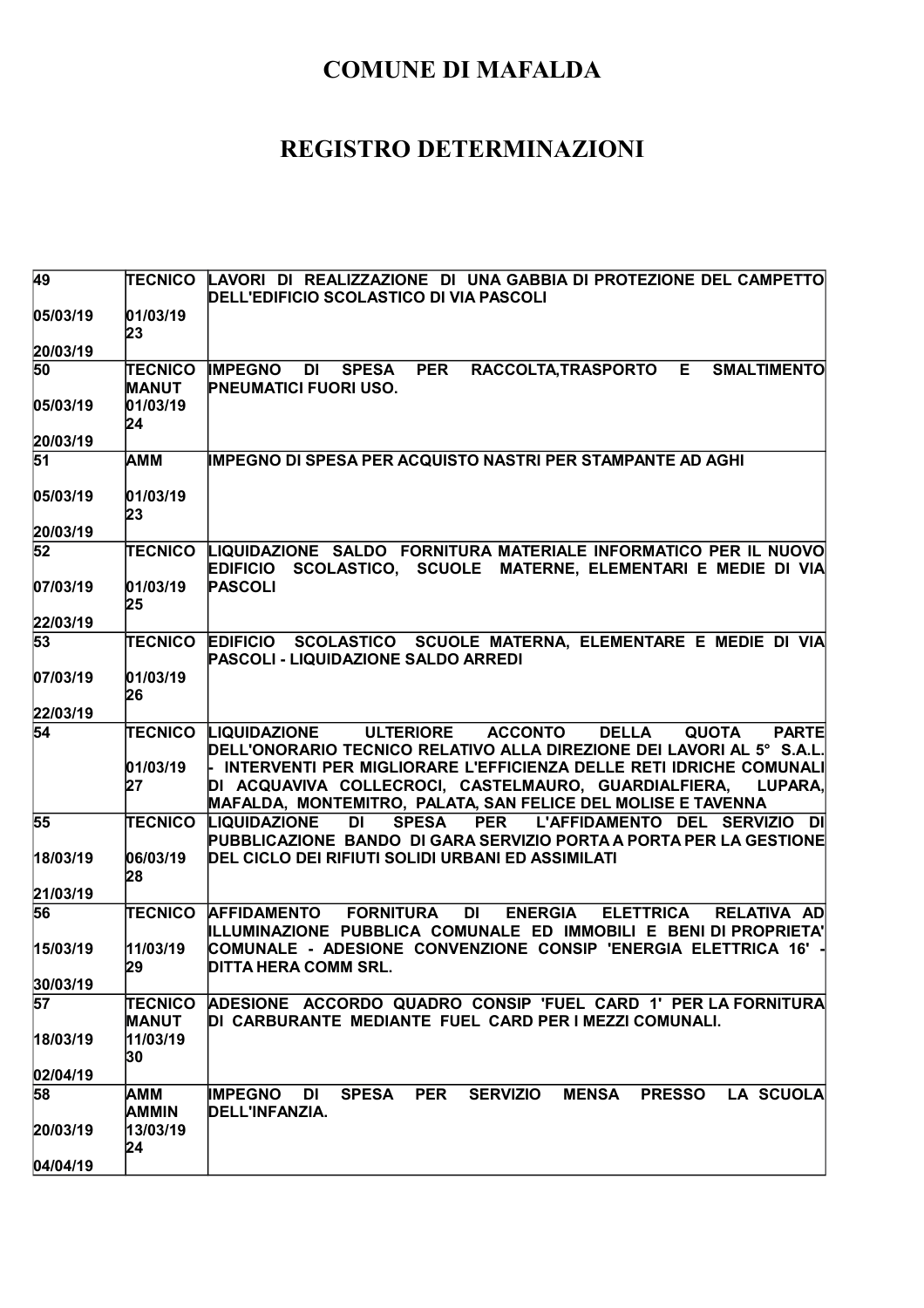| 49              |                                | TECNICO LAVORI DI REALIZZAZIONE DI UNA GABBIA DI PROTEZIONE DEL CAMPETTO<br>DELL'EDIFICIO SCOLASTICO DI VIA PASCOLI                                                                                     |
|-----------------|--------------------------------|---------------------------------------------------------------------------------------------------------------------------------------------------------------------------------------------------------|
| 05/03/19        | 01/03/19<br>23                 |                                                                                                                                                                                                         |
| 20/03/19        |                                |                                                                                                                                                                                                         |
| 50              | <b>TECNICO</b><br><b>MANUT</b> | <b>PER</b><br>RACCOLTA, TRASPORTO<br>E<br><b>SMALTIMENTO</b><br><b>IMPEGNO DI</b><br><b>SPESA</b><br><b>PNEUMATICI FUORI USO.</b>                                                                       |
| 05/03/19        | 01/03/19<br>24                 |                                                                                                                                                                                                         |
| 20/03/19        |                                |                                                                                                                                                                                                         |
| $\overline{51}$ | <b>AMM</b>                     | <b>IMPEGNO DI SPESA PER ACQUISTO NASTRI PER STAMPANTE AD AGHI</b>                                                                                                                                       |
| 05/03/19        | 01/03/19<br>23                 |                                                                                                                                                                                                         |
| 20/03/19        |                                |                                                                                                                                                                                                         |
| 52              |                                | TECNICO LIQUIDAZIONE SALDO FORNITURA MATERIALE INFORMATICO PER IL NUOVO<br>SCOLASTICO, SCUOLE MATERNE, ELEMENTARI E MEDIE DI VIA<br><b>EDIFICIO</b>                                                     |
| 07/03/19        | 01/03/19<br>25                 | <b>PASCOLI</b>                                                                                                                                                                                          |
| 22/03/19        |                                |                                                                                                                                                                                                         |
| 53              | <b>TECNICO</b>                 | SCOLASTICO SCUOLE MATERNA, ELEMENTARE E MEDIE DI VIA<br><b>EDIFICIO</b><br><b>PASCOLI - LIQUIDAZIONE SALDO ARREDI</b>                                                                                   |
| 07/03/19        | 01/03/19<br>26                 |                                                                                                                                                                                                         |
| 22/03/19        |                                |                                                                                                                                                                                                         |
| $\overline{54}$ |                                | <b>TECNICO LIQUIDAZIONE</b><br><b>ACCONTO</b><br><b>DELLA</b><br><b>ULTERIORE</b><br><b>QUOTA</b><br><b>PARTE</b><br>DELL'ONORARIO TECNICO RELATIVO ALLA DIREZIONE DEI LAVORI AL 5° S.A.L.              |
|                 | 01/03/19<br>27                 | - INTERVENTI PER MIGLIORARE L'EFFICIENZA DELLE RETI IDRICHE COMUNALI<br>DI ACQUAVIVA COLLECROCI, CASTELMAURO, GUARDIALFIERA,<br>LUPARA,<br>MAFALDA, MONTEMITRO, PALATA, SAN FELICE DEL MOLISE E TAVENNA |
| 55              | <b>TECNICO</b>                 | <b>SPESA</b><br><b>PER</b><br><b>LIQUIDAZIONE</b><br>DI<br>L'AFFIDAMENTO DEL SERVIZIO DI<br>PUBBLICAZIONE BANDO DI GARA SERVIZIO PORTA A PORTA PER LA GESTIONE                                          |
| 18/03/19        | 06/03/19<br>28                 | DEL CICLO DEI RIFIUTI SOLIDI URBANI ED ASSIMILATI                                                                                                                                                       |
| 21/03/19        |                                |                                                                                                                                                                                                         |
| 56              | <b>TECNICO</b>                 | <b>DI</b><br><b>AFFIDAMENTO</b><br><b>FORNITURA</b><br><b>ENERGIA</b><br><b>ELETTRICA</b><br><b>RELATIVA AD</b><br>ILLUMINAZIONE PUBBLICA COMUNALE ED IMMOBILI E BENI DI PROPRIETA'                     |
| 15/03/19        | 11/03/19<br>129                | COMUNALE - ADESIONE CONVENZIONE CONSIP 'ENERGIA ELETTRICA 16' -<br> DITTA HERA COMM SRL.                                                                                                                |
| 30/03/19        |                                |                                                                                                                                                                                                         |
| 57              | <b>TECNICO</b><br><b>MANUT</b> | ADESIONE ACCORDO QUADRO CONSIP 'FUEL CARD 1' PER LA FORNITURA<br>DI CARBURANTE MEDIANTE FUEL CARD PER I MEZZI COMUNALI.                                                                                 |
| 18/03/19        | 11/03/19<br>30                 |                                                                                                                                                                                                         |
| 02/04/19        |                                |                                                                                                                                                                                                         |
| 58              | AMM<br><b>AMMIN</b>            | <b>IMPEGNO</b><br><b>SERVIZIO</b><br><b>MENSA</b><br><b>PRESSO</b><br>DI<br><b>SPESA</b><br><b>PER</b><br><b>LA SCUOLA</b><br>DELL'INFANZIA.                                                            |
| 20/03/19        | 13/03/19<br>24                 |                                                                                                                                                                                                         |
| 04/04/19        |                                |                                                                                                                                                                                                         |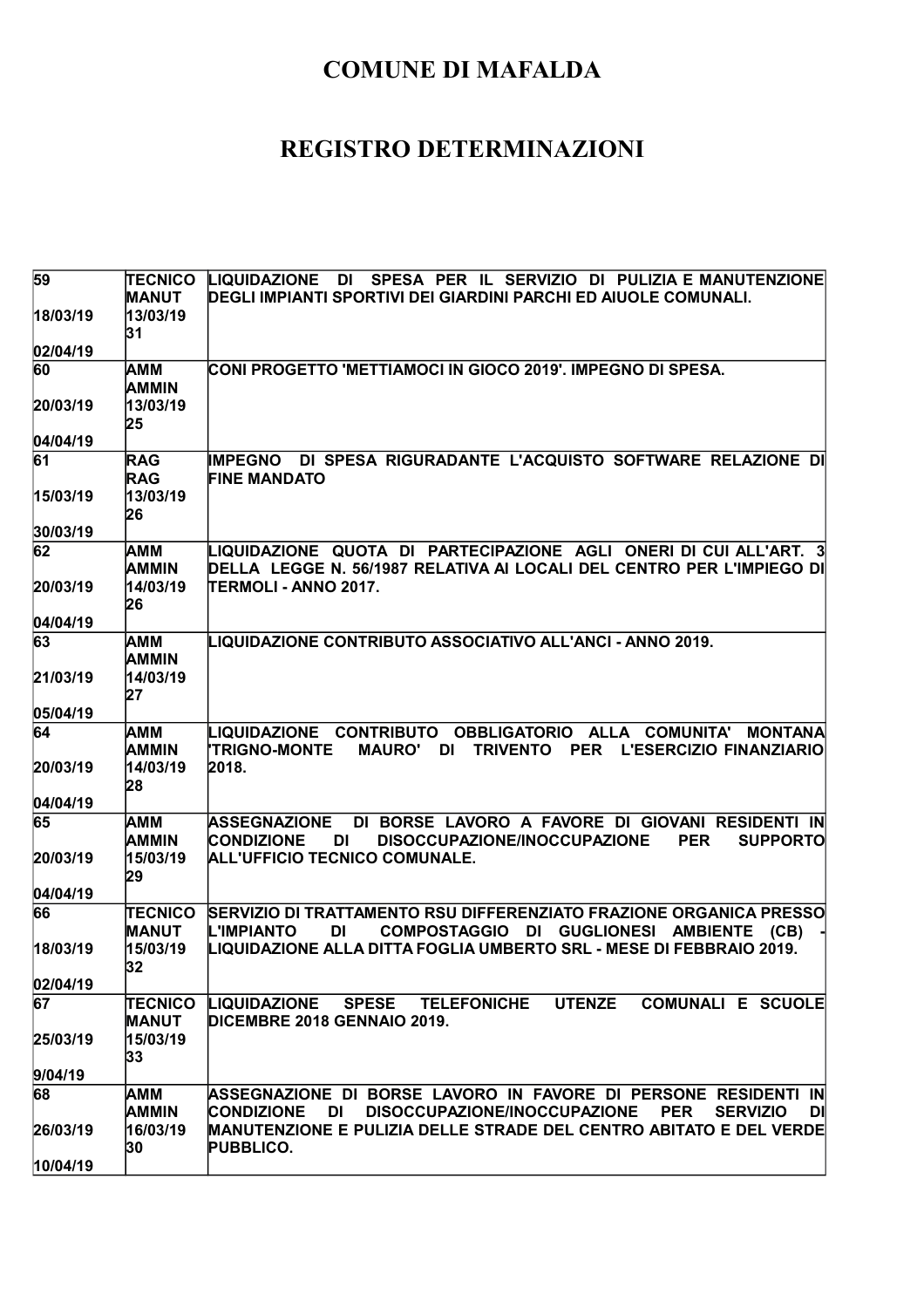| 59             | <b>TECNICO</b><br><b>MANUT</b> | SPESA PER IL SERVIZIO DI PULIZIA E MANUTENZIONE<br><b>LIQUIDAZIONE</b><br>DI<br>DEGLI IMPIANTI SPORTIVI DEI GIARDINI PARCHI ED AIUOLE COMUNALI.                                                                             |
|----------------|--------------------------------|-----------------------------------------------------------------------------------------------------------------------------------------------------------------------------------------------------------------------------|
| 18/03/19       | 13/03/19<br>31                 |                                                                                                                                                                                                                             |
| 02/04/19       |                                |                                                                                                                                                                                                                             |
| 60             | AMM<br><b>AMMIN</b>            | CONI PROGETTO 'METTIAMOCI IN GIOCO 2019'. IMPEGNO DI SPESA.                                                                                                                                                                 |
| 20/03/19       | 13/03/19<br>25                 |                                                                                                                                                                                                                             |
| 04/04/19       |                                |                                                                                                                                                                                                                             |
| 61             | <b>RAG</b><br><b>RAG</b>       | DI SPESA RIGURADANTE L'ACQUISTO SOFTWARE RELAZIONE DI<br><b>IMPEGNO</b><br><b>FINE MANDATO</b>                                                                                                                              |
| 15/03/19       | 13/03/19<br>26                 |                                                                                                                                                                                                                             |
| 30/03/19       |                                |                                                                                                                                                                                                                             |
| 62<br>20/03/19 | AMM<br>AMMIN<br>14/03/19       | LIQUIDAZIONE QUOTA DI PARTECIPAZIONE AGLI ONERI DI CUI ALL'ART. 3<br>DELLA LEGGE N. 56/1987 RELATIVA AI LOCALI DEL CENTRO PER L'IMPIEGO DI<br><b>TERMOLI - ANNO 2017.</b>                                                   |
|                | 26                             |                                                                                                                                                                                                                             |
| 04/04/19       |                                |                                                                                                                                                                                                                             |
| 63             | AMM<br><b>AMMIN</b>            | LIQUIDAZIONE CONTRIBUTO ASSOCIATIVO ALL'ANCI - ANNO 2019.                                                                                                                                                                   |
| 21/03/19       | 14/03/19<br>27                 |                                                                                                                                                                                                                             |
| 05/04/19       |                                |                                                                                                                                                                                                                             |
| 64             | <b>AMM</b><br><b>AMMIN</b>     | LIQUIDAZIONE CONTRIBUTO<br><b>OBBLIGATORIO</b><br><b>ALLA</b><br><b>COMUNITA'</b><br><b>MONTANA</b><br><b>TRIGNO-MONTE</b><br><b>TRIVENTO</b><br><b>PER</b><br><b>MAURO'</b><br><b>DI</b><br><b>L'ESERCIZIO FINANZIARIO</b> |
| 20/03/19       | 14/03/19<br>28                 | 2018.                                                                                                                                                                                                                       |
|                |                                |                                                                                                                                                                                                                             |
| 04/04/19       |                                |                                                                                                                                                                                                                             |
| 65             | AMM<br>AMMIN                   | <b>ASSEGNAZIONE</b><br><b>CONDIZIONE</b><br>DISOCCUPAZIONE/INOCCUPAZIONE<br><b>PER</b><br><b>SUPPORTO</b><br>DI                                                                                                             |
| 20/03/19       | 15/03/19<br>29                 | DI BORSE LAVORO A FAVORE DI GIOVANI RESIDENTI IN<br>ALL'UFFICIO TECNICO COMUNALE.                                                                                                                                           |
| 04/04/19       |                                |                                                                                                                                                                                                                             |
| 66             | <b>TECNICO</b><br><b>MANUT</b> | SERVIZIO DI TRATTAMENTO RSU DIFFERENZIATO FRAZIONE ORGANICA PRESSO<br><b>COMPOSTAGGIO</b><br><b>L'IMPIANTO</b><br>DI<br><b>GUGLIONESI AMBIENTE</b><br>DI<br>(CB)                                                            |
| 18/03/19       | 15/03/19<br>32                 | LIQUIDAZIONE ALLA DITTA FOGLIA UMBERTO SRL - MESE DI FEBBRAIO 2019.                                                                                                                                                         |
| 02/04/19       |                                |                                                                                                                                                                                                                             |
| 67             | <b>TECNICO</b><br><b>MANUT</b> | <b>UTENZE</b><br><b>COMUNALI E SCUOLE</b><br>LIQUIDAZIONE<br>SPESE TELEFONICHE<br>DICEMBRE 2018 GENNAIO 2019.                                                                                                               |
| 25/03/19       | 15/03/19<br>33                 |                                                                                                                                                                                                                             |
| 9/04/19        |                                |                                                                                                                                                                                                                             |
| 68             | <b>AMM</b><br><b>AMMIN</b>     | ASSEGNAZIONE DI BORSE LAVORO IN FAVORE DI PERSONE RESIDENTI IN<br><b>DISOCCUPAZIONE/INOCCUPAZIONE</b><br><b>CONDIZIONE</b><br>DI<br><b>PER</b><br><b>SERVIZIO</b><br>DI                                                     |
| 26/03/19       | 16/03/19<br>30                 | <b>MANUTENZIONE E PULIZIA DELLE STRADE DEL CENTRO ABITATO E DEL VERDE</b><br><b>PUBBLICO.</b>                                                                                                                               |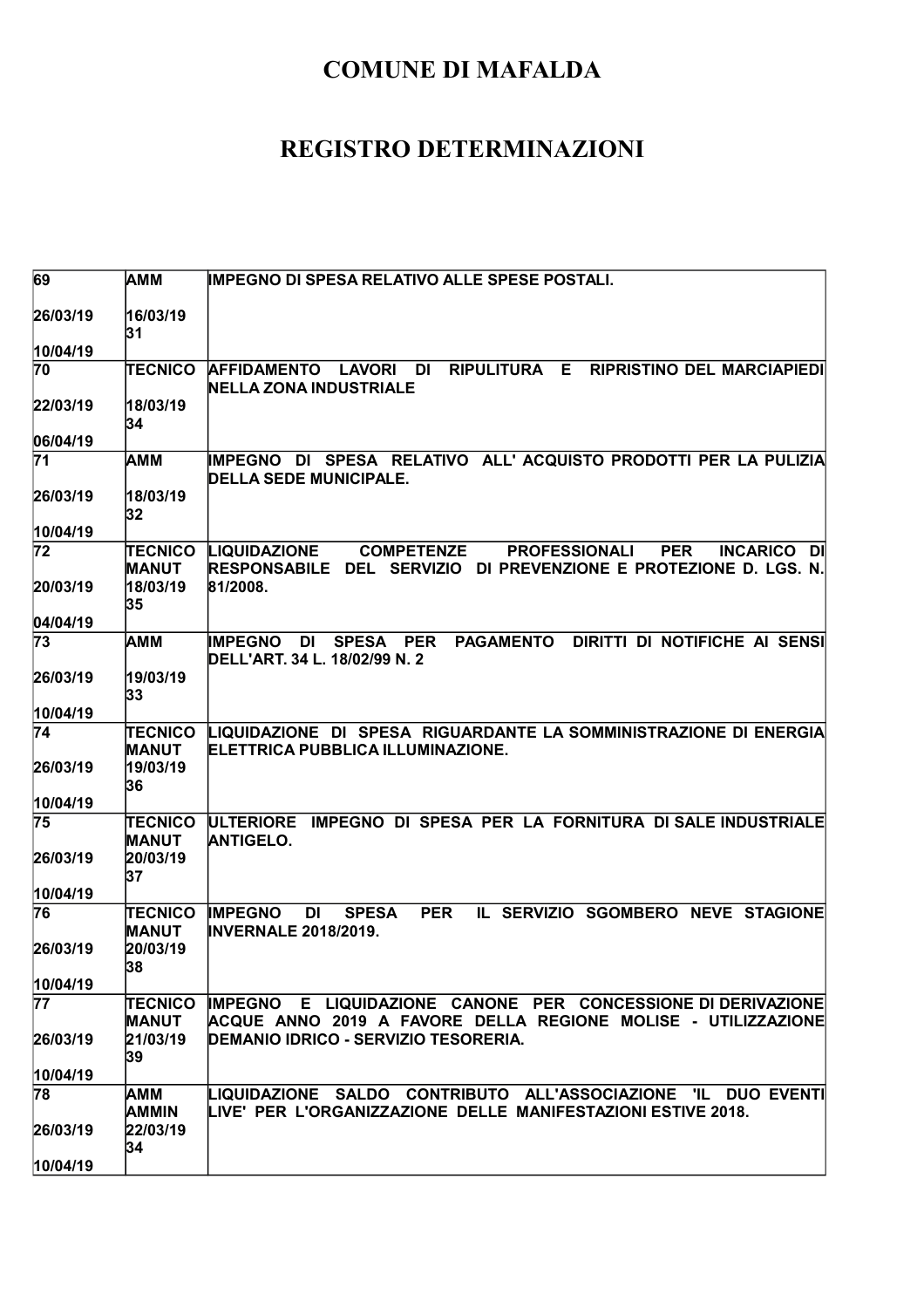| 69              | AMM                                        | IMPEGNO DI SPESA RELATIVO ALLE SPESE POSTALI.                                                                                                                                                                 |
|-----------------|--------------------------------------------|---------------------------------------------------------------------------------------------------------------------------------------------------------------------------------------------------------------|
| 26/03/19        | 16/03/19<br>31                             |                                                                                                                                                                                                               |
| 10/04/19        |                                            |                                                                                                                                                                                                               |
| 70              | <b>TECNICO</b>                             | <b>RIPULITURA</b><br>E<br><b>RIPRISTINO DEL MARCIAPIEDI</b><br><b>AFFIDAMENTO</b><br><b>LAVORI</b><br><b>DI</b><br><b>NELLA ZONA INDUSTRIALE</b>                                                              |
| 22/03/19        | 18/03/19<br>34                             |                                                                                                                                                                                                               |
| 06/04/19        |                                            |                                                                                                                                                                                                               |
| $\overline{71}$ | AMM                                        | IMPEGNO DI SPESA RELATIVO ALL' ACQUISTO PRODOTTI PER LA PULIZIA<br><b>DELLA SEDE MUNICIPALE.</b>                                                                                                              |
| 26/03/19        | 18/03/19<br>32                             |                                                                                                                                                                                                               |
| 10/04/19        |                                            |                                                                                                                                                                                                               |
| 72<br>20/03/19  | <b>TECNICO</b><br><b>MANUT</b><br>18/03/19 | <b>PROFESSIONALI</b><br><b>LIQUIDAZIONE</b><br><b>COMPETENZE</b><br><b>PER</b><br><b>INCARICO</b><br>-DII<br><b>RESPONSABILE</b><br><b>DEL SERVIZIO</b><br>DI PREVENZIONE E PROTEZIONE D. LGS. N.<br>81/2008. |
|                 | 35                                         |                                                                                                                                                                                                               |
| 04/04/19        |                                            |                                                                                                                                                                                                               |
| 73              | іамм                                       | <b>PAGAMENTO</b><br>DIRITTI DI NOTIFICHE AI SENSI<br><b>IMPEGNO</b><br>DI<br><b>SPESA</b><br><b>PER</b><br>DELL'ART. 34 L. 18/02/99 N. 2                                                                      |
| 26/03/19        | 19/03/19<br>33                             |                                                                                                                                                                                                               |
| 10/04/19        |                                            |                                                                                                                                                                                                               |
| 74              | <b>TECNICO</b><br><b>MANUT</b>             | LIQUIDAZIONE DI SPESA RIGUARDANTE LA SOMMINISTRAZIONE DI ENERGIA<br>ELETTRICA PUBBLICA ILLUMINAZIONE.                                                                                                         |
| 26/03/19        | 19/03/19<br>36                             |                                                                                                                                                                                                               |
| 10/04/19        |                                            |                                                                                                                                                                                                               |
| 75              | <b>TECNICO</b><br>MANUT                    | IMPEGNO DI SPESA PER LA FORNITURA DI SALE INDUSTRIALE<br><b>ULTERIORE</b><br><b>ANTIGELO.</b>                                                                                                                 |
| 26/03/19        | 20/03/19<br>37                             |                                                                                                                                                                                                               |
| 10/04/19        |                                            |                                                                                                                                                                                                               |
| 76              | TECNICO<br>MANUT                           | <b>PER</b><br>IL SERVIZIO SGOMBERO<br><b>IMPEGNO</b><br>DI<br><b>SPESA</b><br><b>NEVE STAGIONE</b><br><b>INVERNALE 2018/2019.</b>                                                                             |
| 26/03/19        | 20/03/19<br>38                             |                                                                                                                                                                                                               |
| 10/04/19        |                                            |                                                                                                                                                                                                               |
| $\overline{7}$  | TECNICO<br><b>MANUT</b>                    | IMPEGNO E LIQUIDAZIONE CANONE PER CONCESSIONE DI DERIVAZIONE<br>ACQUE ANNO 2019 A FAVORE DELLA REGIONE MOLISE - UTILIZZAZIONE                                                                                 |
| 26/03/19        | 21/03/19<br>39                             | DEMANIO IDRICO - SERVIZIO TESORERIA.                                                                                                                                                                          |
| 10/04/19        |                                            |                                                                                                                                                                                                               |
| 78              | AMM<br>AMMIN                               | LIQUIDAZIONE SALDO CONTRIBUTO ALL'ASSOCIAZIONE 'IL DUO_EVENTI<br>LIVE' PER L'ORGANIZZAZIONE DELLE MANIFESTAZIONI ESTIVE 2018.                                                                                 |
| 26/03/19        | 22/03/19<br>34                             |                                                                                                                                                                                                               |
| 10/04/19        |                                            |                                                                                                                                                                                                               |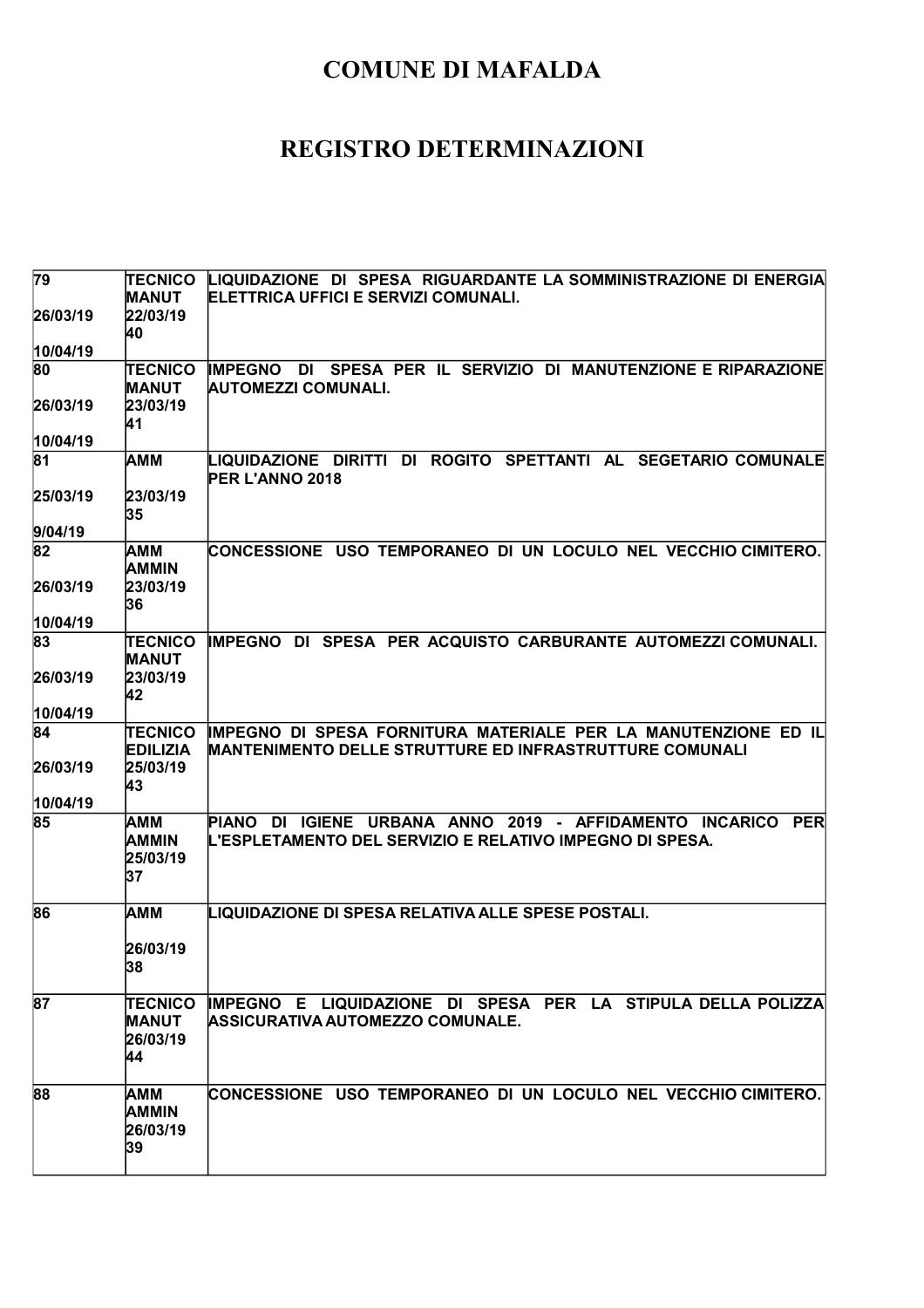| 79             | <b>TECNICO</b>                    | LIQUIDAZIONE DI SPESA RIGUARDANTE LA SOMMINISTRAZIONE DI ENERGIA                                                                 |
|----------------|-----------------------------------|----------------------------------------------------------------------------------------------------------------------------------|
|                | <b>MANUT</b>                      | ELETTRICA UFFICI E SERVIZI COMUNALI.                                                                                             |
| 26/03/19       | 22/03/19                          |                                                                                                                                  |
| 10/04/19       | 40                                |                                                                                                                                  |
| 80             | <b>TECNICO</b>                    | DI SPESA PER IL SERVIZIO DI<br><b>MANUTENZIONE E RIPARAZIONE</b><br><b>IMPEGNO</b>                                               |
|                | <b>MANUT</b>                      | <b>AUTOMEZZI COMUNALI.</b>                                                                                                       |
| 26/03/19       | 23/03/19                          |                                                                                                                                  |
|                | 41                                |                                                                                                                                  |
| 10/04/19       |                                   |                                                                                                                                  |
| 81             | <b>AMM</b>                        | LIQUIDAZIONE DIRITTI DI ROGITO SPETTANTI AL SEGETARIO COMUNALE<br><b>PER L'ANNO 2018</b>                                         |
| 25/03/19       | 23/03/19<br>35                    |                                                                                                                                  |
| 9/04/19        |                                   |                                                                                                                                  |
| 82             | <b>AMM</b><br><b>AMMIN</b>        | CONCESSIONE USO TEMPORANEO DI UN LOCULO NEL VECCHIO CIMITERO.                                                                    |
| 26/03/19       | 23/03/19<br>36                    |                                                                                                                                  |
| 10/04/19       |                                   |                                                                                                                                  |
| 83             | <b>TECNICO</b><br><b>MANUT</b>    | IMPEGNO DI SPESA PER ACQUISTO CARBURANTE AUTOMEZZI COMUNALI.                                                                     |
| 26/03/19       | 23/03/19<br>42                    |                                                                                                                                  |
| 10/04/19       |                                   |                                                                                                                                  |
| 84             | <b>TECNICO</b><br><b>EDILIZIA</b> | IMPEGNO DI SPESA FORNITURA MATERIALE PER LA MANUTENZIONE ED IL<br><b>MANTENIMENTO DELLE STRUTTURE ED INFRASTRUTTURE COMUNALI</b> |
| 26/03/19       | 25/03/19                          |                                                                                                                                  |
|                | 43                                |                                                                                                                                  |
| 10/04/19<br>85 | <b>AMM</b>                        | PIANO DI IGIENE URBANA ANNO 2019 - AFFIDAMENTO INCARICO<br><b>PER</b>                                                            |
|                | <b>AMMIN</b><br>25/03/19<br>37    | IL'ESPLETAMENTO DEL SERVIZIO E RELATIVO IMPEGNO DI SPESA.                                                                        |
| 86             | <b>AMM</b>                        | LIQUIDAZIONE DI SPESA RELATIVA ALLE SPESE POSTALI.                                                                               |
|                | 26/03/19<br>38                    |                                                                                                                                  |
| 87             | <b>TECNICO</b>                    | IMPEGNO E LIQUIDAZIONE DI SPESA PER LA STIPULA DELLA POLIZZA                                                                     |
|                | <b>MANUT</b><br>26/03/19<br>44    | ASSICURATIVA AUTOMEZZO COMUNALE.                                                                                                 |
| 88             | <b>AMM</b>                        | CONCESSIONE USO TEMPORANEO DI UN LOCULO NEL VECCHIO CIMITERO.                                                                    |
|                | <b>AMMIN</b><br>26/03/19<br>39    |                                                                                                                                  |